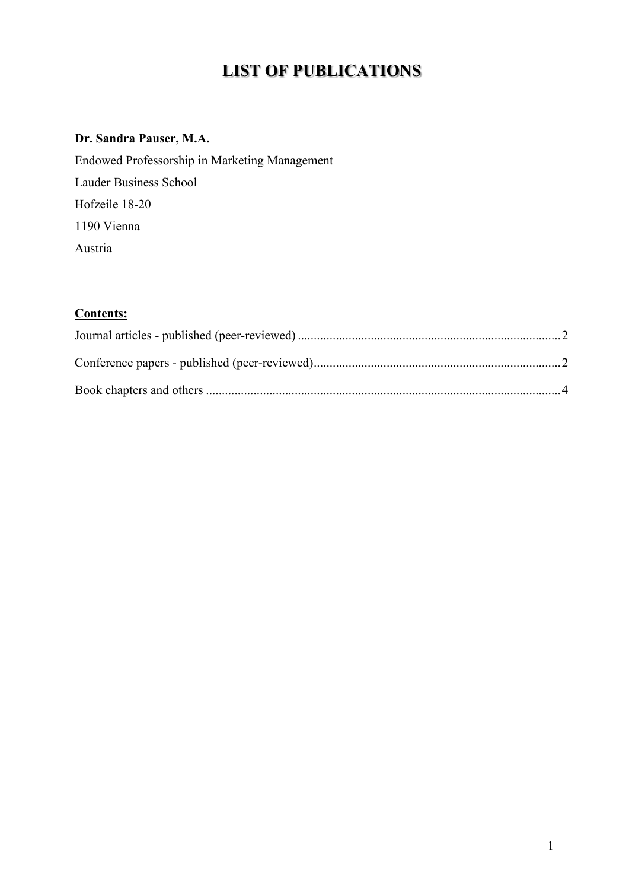### **Dr. Sandra Pauser, M.A.**

Endowed Professorship in Marketing Management Lauder Business School Hofzeile 18-20 1190 Vienna Austria

### **Contents:**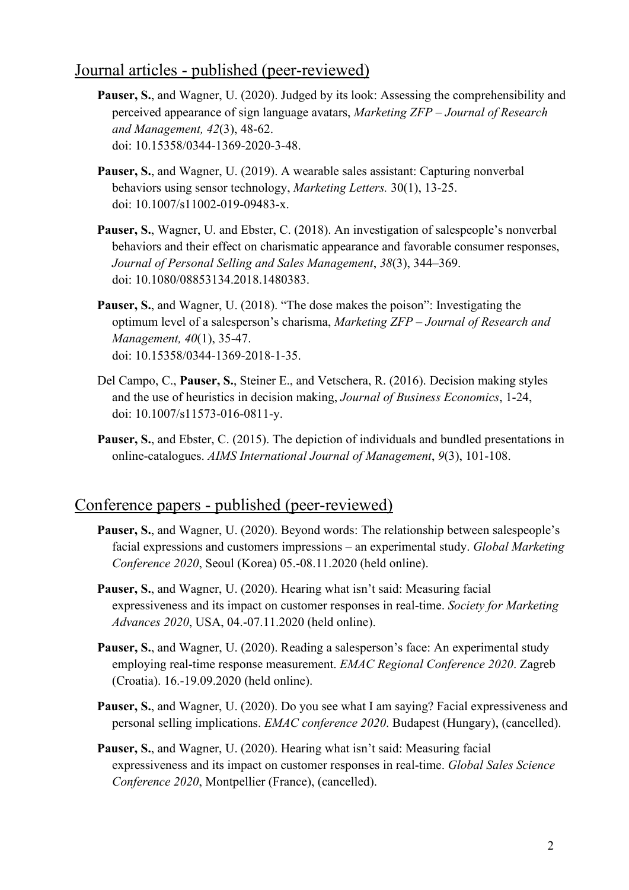# <span id="page-1-0"></span>Journal articles - published (peer-reviewed)

- Pauser, S., and Wagner, U. (2020). Judged by its look: Assessing the comprehensibility and perceived appearance of sign language avatars, *Marketing ZFP – Journal of Research and Management, 42*(3), 48-62. doi: 10.15358/0344-1369-2020-3-48.
- **Pauser, S.**, and Wagner, U. (2019). A wearable sales assistant: Capturing nonverbal behaviors using sensor technology, *Marketing Letters.* 30(1), 13-25. doi: 10.1007/s11002-019-09483-x.
- **Pauser, S.**, Wagner, U. and Ebster, C. (2018). An investigation of salespeople's nonverbal behaviors and their effect on charismatic appearance and favorable consumer responses, *Journal of Personal Selling and Sales Management*, *38*(3), 344–369. doi: 10.1080/08853134.2018.1480383.
- **Pauser, S.**, and Wagner, U. (2018). "The dose makes the poison": Investigating the optimum level of a salesperson's charisma, *Marketing ZFP – Journal of Research and Management, 40*(1), 35-47. doi: 10.15358/0344-1369-2018-1-35.
- Del Campo, C., **Pauser, S.**, Steiner E., and Vetschera, R. (2016). Decision making styles and the use of heuristics in decision making, *Journal of Business Economics*, 1-24, doi: 10.1007/s11573-016-0811-y.
- **Pauser, S.**, and Ebster, C. (2015). The depiction of individuals and bundled presentations in online-catalogues. *AIMS International Journal of Management*, *9*(3), 101-108.

## <span id="page-1-1"></span>Conference papers - published (peer-reviewed)

- Pauser, S., and Wagner, U. (2020). Beyond words: The relationship between salespeople's facial expressions and customers impressions – an experimental study. *Global Marketing Conference 2020*, Seoul (Korea) 05.-08.11.2020 (held online).
- **Pauser, S.**, and Wagner, U. (2020). Hearing what isn't said: Measuring facial expressiveness and its impact on customer responses in real-time. *Society for Marketing Advances 2020*, USA, 04.-07.11.2020 (held online).
- Pauser, S., and Wagner, U. (2020). Reading a salesperson's face: An experimental study employing real-time response measurement. *EMAC Regional Conference 2020*. Zagreb (Croatia). 16.-19.09.2020 (held online).
- **Pauser, S.**, and Wagner, U. (2020). Do you see what I am saying? Facial expressiveness and personal selling implications. *EMAC conference 2020*. Budapest (Hungary), (cancelled).
- **Pauser, S.**, and Wagner, U. (2020). Hearing what isn't said: Measuring facial expressiveness and its impact on customer responses in real-time. *Global Sales Science Conference 2020*, Montpellier (France), (cancelled).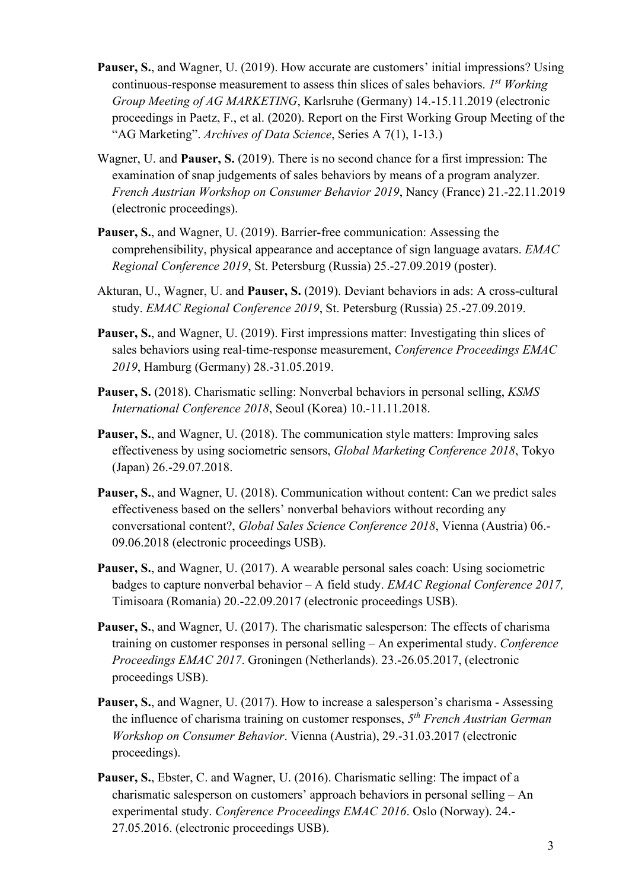- **Pauser, S., and Wagner, U. (2019). How accurate are customers' initial impressions? Using** continuous-response measurement to assess thin slices of sales behaviors. *1st Working Group Meeting of AG MARKETING*, Karlsruhe (Germany) 14.-15.11.2019 (electronic proceedings in Paetz, F., et al. (2020). Report on the First Working Group Meeting of the "AG Marketing". *Archives of Data Science*, Series A 7(1), 1-13.)
- Wagner, U. and **Pauser, S.** (2019). There is no second chance for a first impression: The examination of snap judgements of sales behaviors by means of a program analyzer. *French Austrian Workshop on Consumer Behavior 2019*, Nancy (France) 21.-22.11.2019 (electronic proceedings).
- **Pauser, S.**, and Wagner, U. (2019). Barrier-free communication: Assessing the comprehensibility, physical appearance and acceptance of sign language avatars. *EMAC Regional Conference 2019*, St. Petersburg (Russia) 25.-27.09.2019 (poster).
- Akturan, U., Wagner, U. and **Pauser, S.** (2019). Deviant behaviors in ads: A cross-cultural study. *EMAC Regional Conference 2019*, St. Petersburg (Russia) 25.-27.09.2019.
- Pauser, S., and Wagner, U. (2019). First impressions matter: Investigating thin slices of sales behaviors using real-time-response measurement, *Conference Proceedings EMAC 2019*, Hamburg (Germany) 28.-31.05.2019.
- **Pauser, S.** (2018). Charismatic selling: Nonverbal behaviors in personal selling, *KSMS International Conference 2018*, Seoul (Korea) 10.-11.11.2018.
- **Pauser, S.**, and Wagner, U. (2018). The communication style matters: Improving sales effectiveness by using sociometric sensors, *Global Marketing Conference 2018*, Tokyo (Japan) 26.-29.07.2018.
- **Pauser, S.**, and Wagner, U. (2018). Communication without content: Can we predict sales effectiveness based on the sellers' nonverbal behaviors without recording any conversational content?, *Global Sales Science Conference 2018*, Vienna (Austria) 06.- 09.06.2018 (electronic proceedings USB).
- **Pauser, S.**, and Wagner, U. (2017). A wearable personal sales coach: Using sociometric badges to capture nonverbal behavior – A field study. *EMAC Regional Conference 2017,*  Timisoara (Romania) 20.-22.09.2017 (electronic proceedings USB).
- Pauser, S., and Wagner, U. (2017). The charismatic salesperson: The effects of charisma training on customer responses in personal selling – An experimental study. *Conference Proceedings EMAC 2017*. Groningen (Netherlands). 23.-26.05.2017, (electronic proceedings USB).
- **Pauser, S., and Wagner, U. (2017). How to increase a salesperson's charisma Assessing** the influence of charisma training on customer responses, *5th French Austrian German Workshop on Consumer Behavior*. Vienna (Austria), 29.-31.03.2017 (electronic proceedings).
- **Pauser, S.**, Ebster, C. and Wagner, U. (2016). Charismatic selling: The impact of a charismatic salesperson on customers' approach behaviors in personal selling – An experimental study. *Conference Proceedings EMAC 2016*. Oslo (Norway). 24.- 27.05.2016. (electronic proceedings USB).